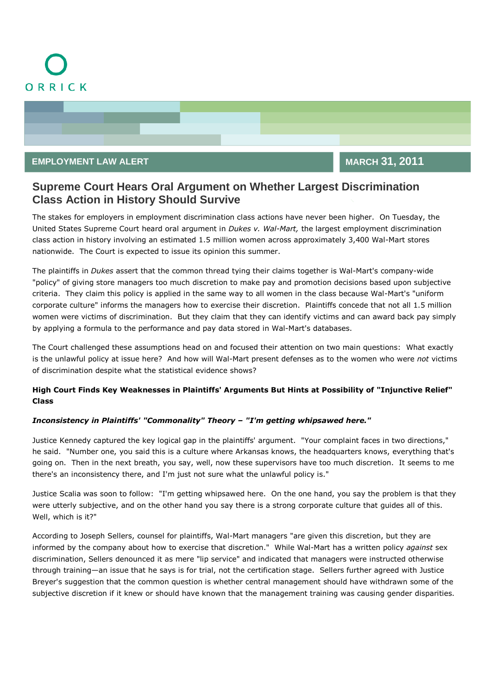

## **EMPLOYMENT LAW ALERT MARCH 31, 2011**

# **Supreme Court Hears Oral Argument on Whether Largest Discrimination Class Action in History Should Survive**

The stakes for employers in employment discrimination class actions have never been higher. On Tuesday, the United States Supreme Court heard oral argument in *Dukes v. Wal-Mart,* the largest employment discrimination class action in history involving an estimated 1.5 million women across approximately 3,400 Wal-Mart stores nationwide. The Court is expected to issue its opinion this summer.

The plaintiffs in *Dukes* assert that the common thread tying their claims together is Wal-Mart's company-wide "policy" of giving store managers too much discretion to make pay and promotion decisions based upon subjective criteria. They claim this policy is applied in the same way to all women in the class because Wal-Mart's "uniform corporate culture" informs the managers how to exercise their discretion. Plaintiffs concede that not all 1.5 million women were victims of discrimination. But they claim that they can identify victims and can award back pay simply by applying a formula to the performance and pay data stored in Wal-Mart's databases.

The Court challenged these assumptions head on and focused their attention on two main questions: What exactly is the unlawful policy at issue here? And how will Wal-Mart present defenses as to the women who were *not* victims of discrimination despite what the statistical evidence shows?

### **High Court Finds Key Weaknesses in Plaintiffs' Arguments But Hints at Possibility of "Injunctive Relief" Class**

#### *Inconsistency in Plaintiffs' "Commonality" Theory – "I'm getting whipsawed here."*

Justice Kennedy captured the key logical gap in the plaintiffs' argument. "Your complaint faces in two directions," he said. "Number one, you said this is a culture where Arkansas knows, the headquarters knows, everything that's going on. Then in the next breath, you say, well, now these supervisors have too much discretion. It seems to me there's an inconsistency there, and I'm just not sure what the unlawful policy is."

Justice Scalia was soon to follow: "I'm getting whipsawed here. On the one hand, you say the problem is that they were utterly subjective, and on the other hand you say there is a strong corporate culture that guides all of this. Well, which is it?"

According to Joseph Sellers, counsel for plaintiffs, Wal-Mart managers "are given this discretion, but they are informed by the company about how to exercise that discretion." While Wal-Mart has a written policy *against* sex discrimination, Sellers denounced it as mere "lip service" and indicated that managers were instructed otherwise through training—an issue that he says is for trial, not the certification stage. Sellers further agreed with Justice Breyer's suggestion that the common question is whether central management should have withdrawn some of the subjective discretion if it knew or should have known that the management training was causing gender disparities.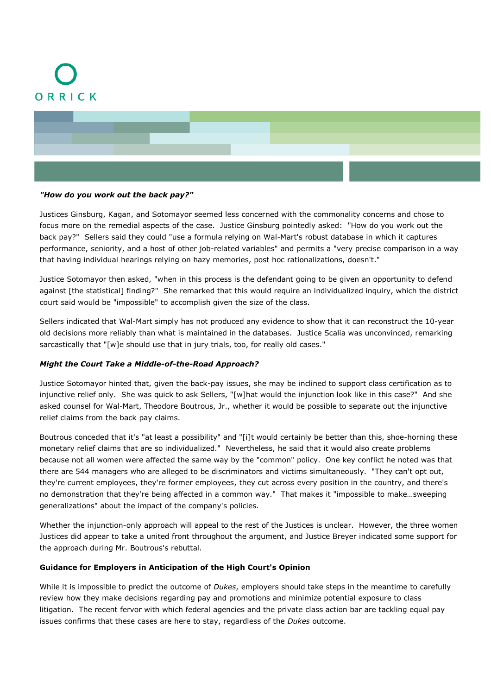



#### *"How do you work out the back pay?"*

Justices Ginsburg, Kagan, and Sotomayor seemed less concerned with the commonality concerns and chose to focus more on the remedial aspects of the case. Justice Ginsburg pointedly asked: "How do you work out the back pay?" Sellers said they could "use a formula relying on Wal-Mart's robust database in which it captures performance, seniority, and a host of other job-related variables" and permits a "very precise comparison in a way that having individual hearings relying on hazy memories, post hoc rationalizations, doesn't."

Justice Sotomayor then asked, "when in this process is the defendant going to be given an opportunity to defend against [the statistical] finding?" She remarked that this would require an individualized inquiry, which the district court said would be "impossible" to accomplish given the size of the class.

Sellers indicated that Wal-Mart simply has not produced any evidence to show that it can reconstruct the 10-year old decisions more reliably than what is maintained in the databases. Justice Scalia was unconvinced, remarking sarcastically that "[w]e should use that in jury trials, too, for really old cases."

#### *Might the Court Take a Middle-of-the-Road Approach?*

Justice Sotomayor hinted that, given the back-pay issues, she may be inclined to support class certification as to injunctive relief only. She was quick to ask Sellers, "[w]hat would the injunction look like in this case?" And she asked counsel for Wal-Mart, Theodore Boutrous, Jr., whether it would be possible to separate out the injunctive relief claims from the back pay claims.

Boutrous conceded that it's "at least a possibility" and "[i]t would certainly be better than this, shoe-horning these monetary relief claims that are so individualized." Nevertheless, he said that it would also create problems because not all women were affected the same way by the "common" policy. One key conflict he noted was that there are 544 managers who are alleged to be discriminators and victims simultaneously. "They can't opt out, they're current employees, they're former employees, they cut across every position in the country, and there's no demonstration that they're being affected in a common way." That makes it "impossible to make…sweeping generalizations" about the impact of the company's policies.

Whether the injunction-only approach will appeal to the rest of the Justices is unclear. However, the three women Justices did appear to take a united front throughout the argument, and Justice Breyer indicated some support for the approach during Mr. Boutrous's rebuttal.

#### **Guidance for Employers in Anticipation of the High Court's Opinion**

While it is impossible to predict the outcome of *Dukes*, employers should take steps in the meantime to carefully review how they make decisions regarding pay and promotions and minimize potential exposure to class litigation. The recent fervor with which federal agencies and the private class action bar are tackling equal pay issues confirms that these cases are here to stay, regardless of the *Dukes* outcome.